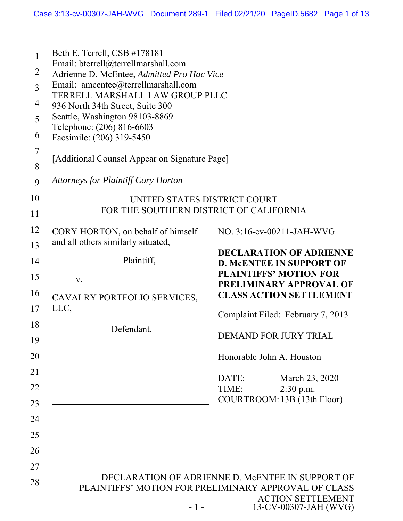$\mathbf{\mathbf{\mathsf{I}}}\mathbf{\mathsf{I}}$ 

| $\mathbf{1}$<br>$\overline{2}$<br>$\overline{3}$<br>$\overline{4}$<br>5<br>6<br>$\overline{7}$<br>8<br>9<br>10<br>11 | Beth E. Terrell, CSB #178181<br>Email: bterrell@terrellmarshall.com<br>Adrienne D. McEntee, Admitted Pro Hac Vice<br>Email: amcentee@terrellmarshall.com<br>TERRELL MARSHALL LAW GROUP PLLC<br>936 North 34th Street, Suite 300<br>Seattle, Washington 98103-8869<br>Telephone: (206) 816-6603<br>Facsimile: (206) 319-5450<br>[Additional Counsel Appear on Signature Page]<br><b>Attorneys for Plaintiff Cory Horton</b><br>UNITED STATES DISTRICT COURT<br>FOR THE SOUTHERN DISTRICT OF CALIFORNIA |                                                                                                                                                                                                                                                                                                                                                                         |
|----------------------------------------------------------------------------------------------------------------------|-------------------------------------------------------------------------------------------------------------------------------------------------------------------------------------------------------------------------------------------------------------------------------------------------------------------------------------------------------------------------------------------------------------------------------------------------------------------------------------------------------|-------------------------------------------------------------------------------------------------------------------------------------------------------------------------------------------------------------------------------------------------------------------------------------------------------------------------------------------------------------------------|
| 12<br>13<br>14<br>15<br>16<br>17<br>18<br>19<br>20<br>21<br>22<br>23<br>24                                           | CORY HORTON, on behalf of himself<br>and all others similarly situated,<br>Plaintiff,<br>V.<br>CAVALRY PORTFOLIO SERVICES,<br>LLC,<br>Defendant.                                                                                                                                                                                                                                                                                                                                                      | NO. 3:16-cv-00211-JAH-WVG<br><b>DECLARATION OF ADRIENNE</b><br><b>D. MCENTEE IN SUPPORT OF</b><br><b>PLAINTIFFS' MOTION FOR</b><br>PRELIMINARY APPROVAL OF<br><b>CLASS ACTION SETTLEMENT</b><br>Complaint Filed: February 7, 2013<br>DEMAND FOR JURY TRIAL<br>Honorable John A. Houston<br>DATE:<br>March 23, 2020<br>2:30 p.m.<br>TIME:<br>COURTROOM: 13B (13th Floor) |
| 25<br>26<br>27<br>28                                                                                                 | $-1-$                                                                                                                                                                                                                                                                                                                                                                                                                                                                                                 | DECLARATION OF ADRIENNE D. MCENTEE IN SUPPORT OF<br>PLAINTIFFS' MOTION FOR PRELIMINARY APPROVAL OF CLASS<br><b>ACTION SETTLEMENT</b><br>13-CV-00307-JAH (WVG)                                                                                                                                                                                                           |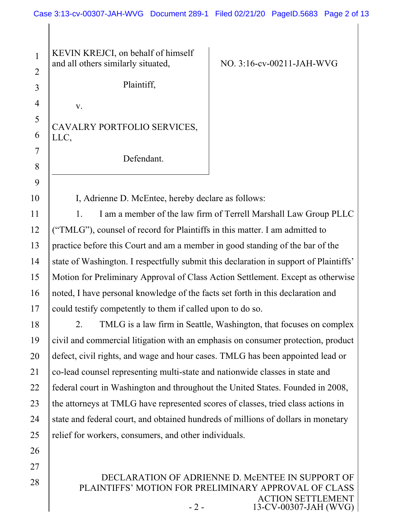3 4 5 6 7 8 9 KEVIN KREJCI, on behalf of himself and all others similarly situated, Plaintiff, v. CAVALRY PORTFOLIO SERVICES, LLC, Defendant.

1

2

10

26

27

28

NO. 3:16-cv-00211-JAH-WVG

I, Adrienne D. McEntee, hereby declare as follows:

11 12 13 14 15 16 17 1. I am a member of the law firm of Terrell Marshall Law Group PLLC ("TMLG"), counsel of record for Plaintiffs in this matter. I am admitted to practice before this Court and am a member in good standing of the bar of the state of Washington. I respectfully submit this declaration in support of Plaintiffs' Motion for Preliminary Approval of Class Action Settlement. Except as otherwise noted, I have personal knowledge of the facts set forth in this declaration and could testify competently to them if called upon to do so.

18 19 20 21 22 23 24 25 2. TMLG is a law firm in Seattle, Washington, that focuses on complex civil and commercial litigation with an emphasis on consumer protection, product defect, civil rights, and wage and hour cases. TMLG has been appointed lead or co-lead counsel representing multi-state and nationwide classes in state and federal court in Washington and throughout the United States. Founded in 2008, the attorneys at TMLG have represented scores of classes, tried class actions in state and federal court, and obtained hundreds of millions of dollars in monetary relief for workers, consumers, and other individuals.

> DECLARATION OF ADRIENNE D. MCENTEE IN SUPPORT OF PLAINTIFFS' MOTION FOR PRELIMINARY APPROVAL OF CLASS ACTION SETTLEMENT - 2 - 13-CV-00307-JAH (WVG)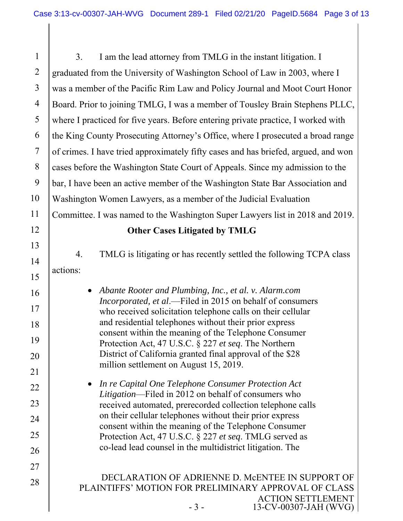DECLARATION OF ADRIENNE D. MCENTEE IN SUPPORT OF PLAINTIFFS' MOTION FOR PRELIMINARY APPROVAL OF CLASS ACTION SETTLEMENT - 3 - 13-CV-00307-JAH (WVG) 1 2 3 4 5 6 7 8 9 10 11 12 13 14 15 16 17 18 19 20 21 22 23 24 25 26 27 28 3. I am the lead attorney from TMLG in the instant litigation. I graduated from the University of Washington School of Law in 2003, where I was a member of the Pacific Rim Law and Policy Journal and Moot Court Honor Board. Prior to joining TMLG, I was a member of Tousley Brain Stephens PLLC, where I practiced for five years. Before entering private practice, I worked with the King County Prosecuting Attorney's Office, where I prosecuted a broad range of crimes. I have tried approximately fifty cases and has briefed, argued, and won cases before the Washington State Court of Appeals. Since my admission to the bar, I have been an active member of the Washington State Bar Association and Washington Women Lawyers, as a member of the Judicial Evaluation Committee. I was named to the Washington Super Lawyers list in 2018 and 2019. **Other Cases Litigated by TMLG**  4. TMLG is litigating or has recently settled the following TCPA class actions: *Abante Rooter and Plumbing, Inc., et al. v. Alarm.com Incorporated, et al*.—Filed in 2015 on behalf of consumers who received solicitation telephone calls on their cellular and residential telephones without their prior express consent within the meaning of the Telephone Consumer Protection Act, 47 U.S.C. § 227 *et seq*. The Northern District of California granted final approval of the \$28 million settlement on August 15, 2019. *In re Capital One Telephone Consumer Protection Act Litigation*—Filed in 2012 on behalf of consumers who received automated, prerecorded collection telephone calls on their cellular telephones without their prior express consent within the meaning of the Telephone Consumer Protection Act, 47 U.S.C. § 227 *et seq*. TMLG served as co-lead lead counsel in the multidistrict litigation. The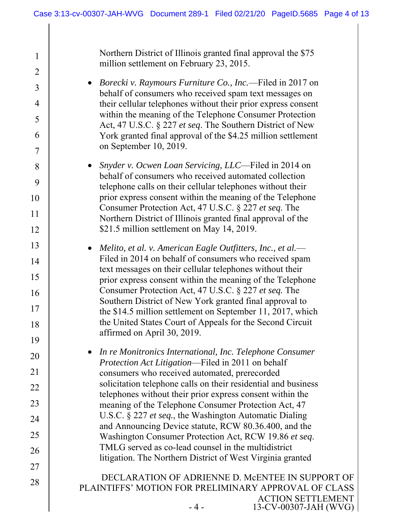| $\mathbf{1}$   | Northern District of Illinois granted final approval the \$75<br>million settlement on February 23, 2015.             |
|----------------|-----------------------------------------------------------------------------------------------------------------------|
| $\overline{2}$ | <i>Borecki v. Raymours Furniture Co., Inc.</i> —Filed in 2017 on                                                      |
| $\overline{3}$ | behalf of consumers who received spam text messages on                                                                |
| $\overline{4}$ | their cellular telephones without their prior express consent                                                         |
| 5              | within the meaning of the Telephone Consumer Protection<br>Act, 47 U.S.C. § 227 et seq. The Southern District of New  |
| 6              | York granted final approval of the \$4.25 million settlement                                                          |
| 7              | on September 10, 2019.                                                                                                |
| 8              | Snyder v. Ocwen Loan Servicing, LLC—Filed in 2014 on                                                                  |
| 9              | behalf of consumers who received automated collection<br>telephone calls on their cellular telephones without their   |
| 10             | prior express consent within the meaning of the Telephone                                                             |
| 11             | Consumer Protection Act, 47 U.S.C. § 227 et seq. The<br>Northern District of Illinois granted final approval of the   |
| 12             | \$21.5 million settlement on May 14, 2019.                                                                            |
| 13             | Melito, et al. v. American Eagle Outfitters, Inc., et al.—<br>$\bullet$                                               |
| 14             | Filed in 2014 on behalf of consumers who received spam                                                                |
| 15             | text messages on their cellular telephones without their<br>prior express consent within the meaning of the Telephone |
| 16             | Consumer Protection Act, 47 U.S.C. § 227 et seq. The                                                                  |
| 17             | Southern District of New York granted final approval to<br>the \$14.5 million settlement on September 11, 2017, which |
| 18             | the United States Court of Appeals for the Second Circuit                                                             |
| 19             | affirmed on April 30, 2019.                                                                                           |
| 20             | In re Monitronics International, Inc. Telephone Consumer                                                              |
| 21             | Protection Act Litigation—Filed in 2011 on behalf<br>consumers who received automated, prerecorded                    |
| 22             | solicitation telephone calls on their residential and business                                                        |
| 23             | telephones without their prior express consent within the                                                             |
|                | meaning of the Telephone Consumer Protection Act, 47<br>U.S.C. § 227 et seq., the Washington Automatic Dialing        |
| 24             | and Announcing Device statute, RCW 80.36.400, and the                                                                 |
| 25             | Washington Consumer Protection Act, RCW 19.86 et seq.<br>TMLG served as co-lead counsel in the multidistrict          |
| 26             | litigation. The Northern District of West Virginia granted                                                            |
| 27             | DECLARATION OF ADRIENNE D. MCENTEE IN SUPPORT OF                                                                      |
| 28             | PLAINTIFFS' MOTION FOR PRELIMINARY APPROVAL OF CLASS                                                                  |
|                | <b>ACTION SETTLEMENT</b>                                                                                              |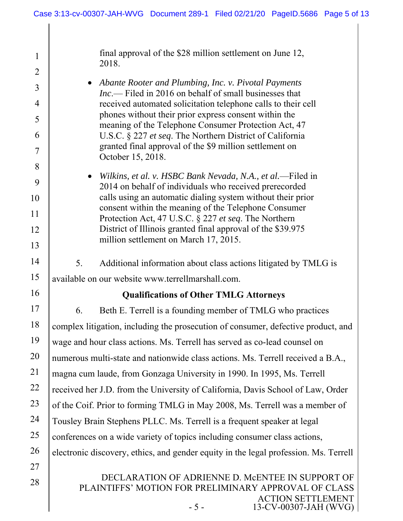| $\mathbf{1}$<br>$\overline{2}$ | final approval of the \$28 million settlement on June 12,<br>2018.                                                                   |  |
|--------------------------------|--------------------------------------------------------------------------------------------------------------------------------------|--|
|                                | • Abante Rooter and Plumbing, Inc. v. Pivotal Payments                                                                               |  |
| 3                              | $Inc$ — Filed in 2016 on behalf of small businesses that                                                                             |  |
| 4                              | received automated solicitation telephone calls to their cell<br>phones without their prior express consent within the               |  |
| 5                              | meaning of the Telephone Consumer Protection Act, 47                                                                                 |  |
| 6                              | U.S.C. § 227 et seq. The Northern District of California<br>granted final approval of the \$9 million settlement on                  |  |
| 7                              | October 15, 2018.                                                                                                                    |  |
| 8                              | Wilkins, et al. v. HSBC Bank Nevada, N.A., et al.—Filed in<br>$\bullet$                                                              |  |
| 9                              | 2014 on behalf of individuals who received prerecorded                                                                               |  |
| 10                             | calls using an automatic dialing system without their prior<br>consent within the meaning of the Telephone Consumer                  |  |
| 11                             | Protection Act, 47 U.S.C. § 227 et seq. The Northern                                                                                 |  |
| 12                             | District of Illinois granted final approval of the \$39.975<br>million settlement on March 17, 2015.                                 |  |
| 13                             |                                                                                                                                      |  |
| 14                             | 5.<br>Additional information about class actions litigated by TMLG is                                                                |  |
| 15                             | available on our website www.terrellmarshall.com.                                                                                    |  |
| 16                             | <b>Qualifications of Other TMLG Attorneys</b>                                                                                        |  |
| 17                             | Beth E. Terrell is a founding member of TMLG who practices<br>6.                                                                     |  |
| 18                             | complex litigation, including the prosecution of consumer, defective product, and                                                    |  |
| 19                             | wage and hour class actions. Ms. Terrell has served as co-lead counsel on                                                            |  |
| 20                             | numerous multi-state and nationwide class actions. Ms. Terrell received a B.A.,                                                      |  |
| 21                             | magna cum laude, from Gonzaga University in 1990. In 1995, Ms. Terrell                                                               |  |
| 22                             | received her J.D. from the University of California, Davis School of Law, Order                                                      |  |
| 23                             | of the Coif. Prior to forming TMLG in May 2008, Ms. Terrell was a member of                                                          |  |
| 24                             | Tousley Brain Stephens PLLC. Ms. Terrell is a frequent speaker at legal                                                              |  |
| 25                             | conferences on a wide variety of topics including consumer class actions,                                                            |  |
| 26                             | electronic discovery, ethics, and gender equity in the legal profession. Ms. Terrell                                                 |  |
| 27                             |                                                                                                                                      |  |
| 28                             | DECLARATION OF ADRIENNE D. MCENTEE IN SUPPORT OF<br>PLAINTIFFS' MOTION FOR PRELIMINARY APPROVAL OF CLASS<br><b>ACTION SETTLEMENT</b> |  |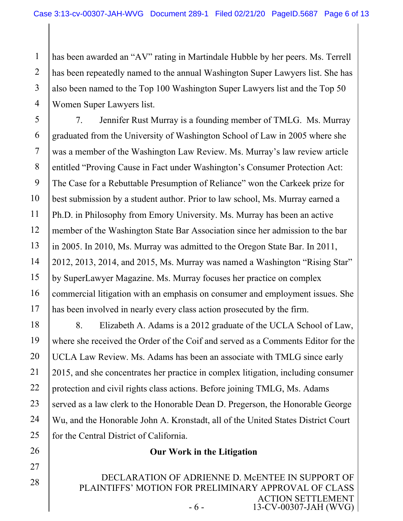1 2 3 4 has been awarded an "AV" rating in Martindale Hubble by her peers. Ms. Terrell has been repeatedly named to the annual Washington Super Lawyers list. She has also been named to the Top 100 Washington Super Lawyers list and the Top 50 Women Super Lawyers list.

5 6 7 8 9 10 11 12 13 14 15 16 17 7. Jennifer Rust Murray is a founding member of TMLG. Ms. Murray graduated from the University of Washington School of Law in 2005 where she was a member of the Washington Law Review. Ms. Murray's law review article entitled "Proving Cause in Fact under Washington's Consumer Protection Act: The Case for a Rebuttable Presumption of Reliance" won the Carkeek prize for best submission by a student author. Prior to law school, Ms. Murray earned a Ph.D. in Philosophy from Emory University. Ms. Murray has been an active member of the Washington State Bar Association since her admission to the bar in 2005. In 2010, Ms. Murray was admitted to the Oregon State Bar. In 2011, 2012, 2013, 2014, and 2015, Ms. Murray was named a Washington "Rising Star" by SuperLawyer Magazine. Ms. Murray focuses her practice on complex commercial litigation with an emphasis on consumer and employment issues. She has been involved in nearly every class action prosecuted by the firm.

18 19 20 21 22 23 24 25 8. Elizabeth A. Adams is a 2012 graduate of the UCLA School of Law, where she received the Order of the Coif and served as a Comments Editor for the UCLA Law Review. Ms. Adams has been an associate with TMLG since early 2015, and she concentrates her practice in complex litigation, including consumer protection and civil rights class actions. Before joining TMLG, Ms. Adams served as a law clerk to the Honorable Dean D. Pregerson, the Honorable George Wu, and the Honorable John A. Kronstadt, all of the United States District Court for the Central District of California.

## **Our Work in the Litigation**

26

27

28

DECLARATION OF ADRIENNE D. MCENTEE IN SUPPORT OF PLAINTIFFS' MOTION FOR PRELIMINARY APPROVAL OF CLASS ACTION SETTLEMENT - 6 - 13-CV-00307-JAH (WVG)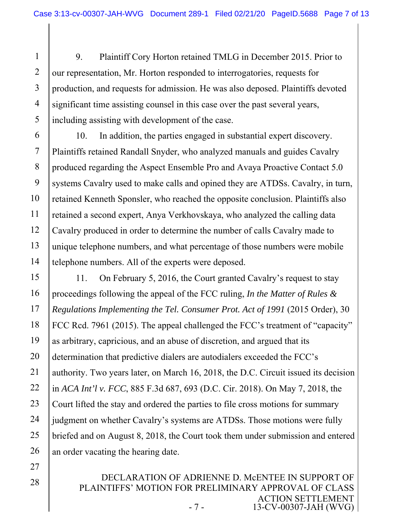1 2 3 4 5 9. Plaintiff Cory Horton retained TMLG in December 2015. Prior to our representation, Mr. Horton responded to interrogatories, requests for production, and requests for admission. He was also deposed. Plaintiffs devoted significant time assisting counsel in this case over the past several years, including assisting with development of the case.

6 7 8 9 10 11 12 13 14 10. In addition, the parties engaged in substantial expert discovery. Plaintiffs retained Randall Snyder, who analyzed manuals and guides Cavalry produced regarding the Aspect Ensemble Pro and Avaya Proactive Contact 5.0 systems Cavalry used to make calls and opined they are ATDSs. Cavalry, in turn, retained Kenneth Sponsler, who reached the opposite conclusion. Plaintiffs also retained a second expert, Anya Verkhovskaya, who analyzed the calling data Cavalry produced in order to determine the number of calls Cavalry made to unique telephone numbers, and what percentage of those numbers were mobile telephone numbers. All of the experts were deposed.

15 16 17 18 19 20 21 22 23 24 25 26 11. On February 5, 2016, the Court granted Cavalry's request to stay proceedings following the appeal of the FCC ruling, *In the Matter of Rules & Regulations Implementing the Tel. Consumer Prot. Act of 1991* (2015 Order), 30 FCC Rcd. 7961 (2015). The appeal challenged the FCC's treatment of "capacity" as arbitrary, capricious, and an abuse of discretion, and argued that its determination that predictive dialers are autodialers exceeded the FCC's authority. Two years later, on March 16, 2018, the D.C. Circuit issued its decision in *ACA Int'l v. FCC*, 885 F.3d 687, 693 (D.C. Cir. 2018). On May 7, 2018, the Court lifted the stay and ordered the parties to file cross motions for summary judgment on whether Cavalry's systems are ATDSs. Those motions were fully briefed and on August 8, 2018, the Court took them under submission and entered an order vacating the hearing date.

27

28

DECLARATION OF ADRIENNE D. MCENTEE IN SUPPORT OF PLAINTIFFS' MOTION FOR PRELIMINARY APPROVAL OF CLASS ACTION SETTLEMENT - 7 - 13-CV-00307-JAH (WVG)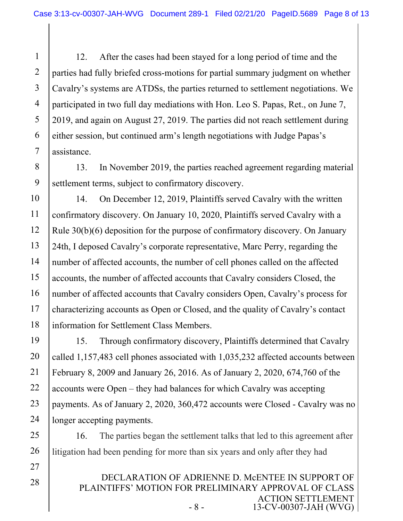1 2 3 4 5 6 7 12. After the cases had been stayed for a long period of time and the parties had fully briefed cross-motions for partial summary judgment on whether Cavalry's systems are ATDSs, the parties returned to settlement negotiations. We participated in two full day mediations with Hon. Leo S. Papas, Ret., on June 7, 2019, and again on August 27, 2019. The parties did not reach settlement during either session, but continued arm's length negotiations with Judge Papas's assistance.

9 13. In November 2019, the parties reached agreement regarding material settlement terms, subject to confirmatory discovery.

8

27

28

10 11 12 13 14 15 16 17 18 14. On December 12, 2019, Plaintiffs served Cavalry with the written confirmatory discovery. On January 10, 2020, Plaintiffs served Cavalry with a Rule 30(b)(6) deposition for the purpose of confirmatory discovery. On January 24th, I deposed Cavalry's corporate representative, Marc Perry, regarding the number of affected accounts, the number of cell phones called on the affected accounts, the number of affected accounts that Cavalry considers Closed, the number of affected accounts that Cavalry considers Open, Cavalry's process for characterizing accounts as Open or Closed, and the quality of Cavalry's contact information for Settlement Class Members.

19 20 21 22 23 24 15. Through confirmatory discovery, Plaintiffs determined that Cavalry called 1,157,483 cell phones associated with 1,035,232 affected accounts between February 8, 2009 and January 26, 2016. As of January 2, 2020, 674,760 of the accounts were Open – they had balances for which Cavalry was accepting payments. As of January 2, 2020, 360,472 accounts were Closed - Cavalry was no longer accepting payments.

25 26 16. The parties began the settlement talks that led to this agreement after litigation had been pending for more than six years and only after they had

> DECLARATION OF ADRIENNE D. MCENTEE IN SUPPORT OF PLAINTIFFS' MOTION FOR PRELIMINARY APPROVAL OF CLASS ACTION SETTLEMENT - 8 - 13-CV-00307-JAH (WVG)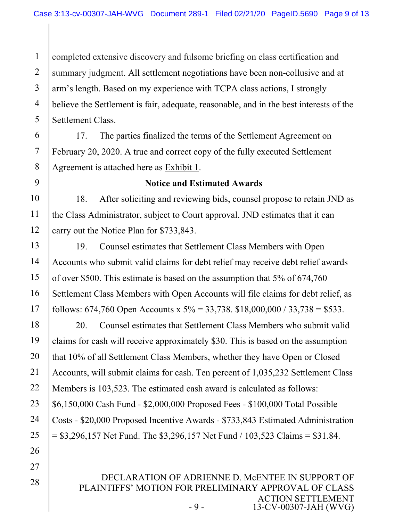1 2 3 4 5 completed extensive discovery and fulsome briefing on class certification and summary judgment. All settlement negotiations have been non-collusive and at arm's length. Based on my experience with TCPA class actions, I strongly believe the Settlement is fair, adequate, reasonable, and in the best interests of the Settlement Class.

6 7 8 17. The parties finalized the terms of the Settlement Agreement on February 20, 2020. A true and correct copy of the fully executed Settlement Agreement is attached here as Exhibit 1.

9

27

28

### **Notice and Estimated Awards**

10 11 12 18. After soliciting and reviewing bids, counsel propose to retain JND as the Class Administrator, subject to Court approval. JND estimates that it can carry out the Notice Plan for \$733,843.

13 14 15 16 17 19. Counsel estimates that Settlement Class Members with Open Accounts who submit valid claims for debt relief may receive debt relief awards of over \$500. This estimate is based on the assumption that 5% of 674,760 Settlement Class Members with Open Accounts will file claims for debt relief, as follows: 674,760 Open Accounts x  $5\% = 33,738$ . \$18,000,000 / 33,738 = \$533.

18 19 20 21 22 23 24 25 26 20. Counsel estimates that Settlement Class Members who submit valid claims for cash will receive approximately \$30. This is based on the assumption that 10% of all Settlement Class Members, whether they have Open or Closed Accounts, will submit claims for cash. Ten percent of 1,035,232 Settlement Class Members is 103,523. The estimated cash award is calculated as follows: \$6,150,000 Cash Fund - \$2,000,000 Proposed Fees - \$100,000 Total Possible Costs - \$20,000 Proposed Incentive Awards - \$733,843 Estimated Administration  $=$  \$3,296,157 Net Fund. The \$3,296,157 Net Fund / 103,523 Claims = \$31.84.

> DECLARATION OF ADRIENNE D. MCENTEE IN SUPPORT OF PLAINTIFFS' MOTION FOR PRELIMINARY APPROVAL OF CLASS ACTION SETTLEMENT - 9 - 13-CV-00307-JAH (WVG)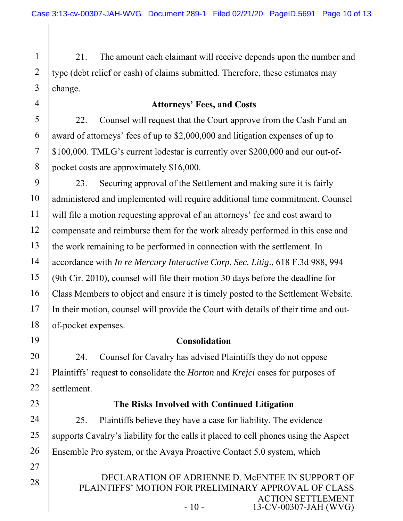1 2 3 21. The amount each claimant will receive depends upon the number and type (debt relief or cash) of claims submitted. Therefore, these estimates may change.

### **Attorneys' Fees, and Costs**

22. Counsel will request that the Court approve from the Cash Fund an award of attorneys' fees of up to \$2,000,000 and litigation expenses of up to \$100,000. TMLG's current lodestar is currently over \$200,000 and our out-ofpocket costs are approximately \$16,000.

9 10 11 12 13 14 15 16 17 18 23. Securing approval of the Settlement and making sure it is fairly administered and implemented will require additional time commitment. Counsel will file a motion requesting approval of an attorneys' fee and cost award to compensate and reimburse them for the work already performed in this case and the work remaining to be performed in connection with the settlement. In accordance with *In re Mercury Interactive Corp. Sec. Litig*., 618 F.3d 988, 994 (9th Cir. 2010), counsel will file their motion 30 days before the deadline for Class Members to object and ensure it is timely posted to the Settlement Website. In their motion, counsel will provide the Court with details of their time and outof-pocket expenses.

19

21

22

4

5

6

7

8

### **Consolidation**

20 24. Counsel for Cavalry has advised Plaintiffs they do not oppose Plaintiffs' request to consolidate the *Horton* and *Krejci* cases for purposes of settlement.

23

27

28

### **The Risks Involved with Continued Litigation**

24 25 26 25. Plaintiffs believe they have a case for liability. The evidence supports Cavalry's liability for the calls it placed to cell phones using the Aspect Ensemble Pro system, or the Avaya Proactive Contact 5.0 system, which

> DECLARATION OF ADRIENNE D. MCENTEE IN SUPPORT OF PLAINTIFFS' MOTION FOR PRELIMINARY APPROVAL OF CLASS ACTION SETTLEMENT - 10 - 13-CV-00307-JAH (WVG)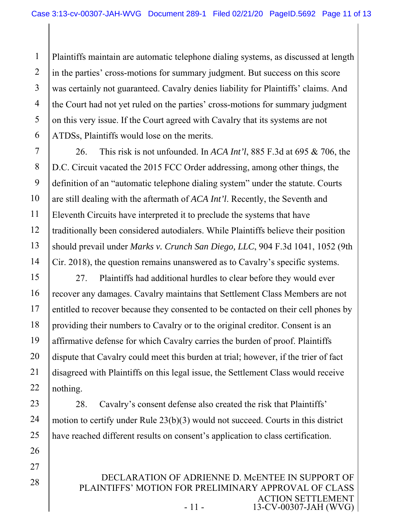1 2 3 4 5 6 Plaintiffs maintain are automatic telephone dialing systems, as discussed at length in the parties' cross-motions for summary judgment. But success on this score was certainly not guaranteed. Cavalry denies liability for Plaintiffs' claims. And the Court had not yet ruled on the parties' cross-motions for summary judgment on this very issue. If the Court agreed with Cavalry that its systems are not ATDSs, Plaintiffs would lose on the merits.

7 8 9 10 11 12 13 14 26. This risk is not unfounded. In *ACA Int'l*, 885 F.3d at 695 & 706, the D.C. Circuit vacated the 2015 FCC Order addressing, among other things, the definition of an "automatic telephone dialing system" under the statute. Courts are still dealing with the aftermath of *ACA Int'l*. Recently, the Seventh and Eleventh Circuits have interpreted it to preclude the systems that have traditionally been considered autodialers. While Plaintiffs believe their position should prevail under *Marks v. Crunch San Diego, LLC*, 904 F.3d 1041, 1052 (9th Cir. 2018), the question remains unanswered as to Cavalry's specific systems.

15 16 17 18 19 20 21 22 27. Plaintiffs had additional hurdles to clear before they would ever recover any damages. Cavalry maintains that Settlement Class Members are not entitled to recover because they consented to be contacted on their cell phones by providing their numbers to Cavalry or to the original creditor. Consent is an affirmative defense for which Cavalry carries the burden of proof. Plaintiffs dispute that Cavalry could meet this burden at trial; however, if the trier of fact disagreed with Plaintiffs on this legal issue, the Settlement Class would receive nothing.

23 24 25 28. Cavalry's consent defense also created the risk that Plaintiffs' motion to certify under Rule 23(b)(3) would not succeed. Courts in this district have reached different results on consent's application to class certification.

26

27

28

DECLARATION OF ADRIENNE D. MCENTEE IN SUPPORT OF PLAINTIFFS' MOTION FOR PRELIMINARY APPROVAL OF CLASS ACTION SETTLEMENT - 11 - 13-CV-00307-JAH (WVG)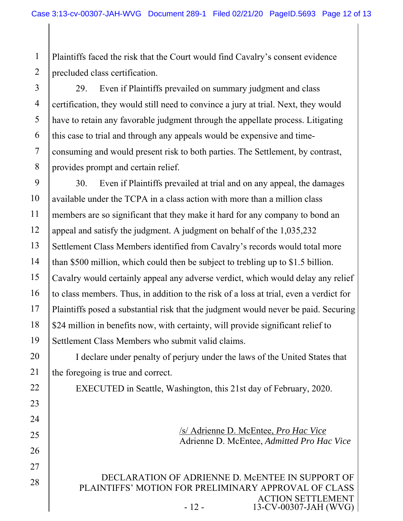1 2 Plaintiffs faced the risk that the Court would find Cavalry's consent evidence precluded class certification.

3 4 5 6 7 8 29. Even if Plaintiffs prevailed on summary judgment and class certification, they would still need to convince a jury at trial. Next, they would have to retain any favorable judgment through the appellate process. Litigating this case to trial and through any appeals would be expensive and timeconsuming and would present risk to both parties. The Settlement, by contrast, provides prompt and certain relief.

9 10 11 12 13 14 15 16 17 18 19 30. Even if Plaintiffs prevailed at trial and on any appeal, the damages available under the TCPA in a class action with more than a million class members are so significant that they make it hard for any company to bond an appeal and satisfy the judgment. A judgment on behalf of the 1,035,232 Settlement Class Members identified from Cavalry's records would total more than \$500 million, which could then be subject to trebling up to \$1.5 billion. Cavalry would certainly appeal any adverse verdict, which would delay any relief to class members. Thus, in addition to the risk of a loss at trial, even a verdict for Plaintiffs posed a substantial risk that the judgment would never be paid. Securing \$24 million in benefits now, with certainty, will provide significant relief to Settlement Class Members who submit valid claims.

20 I declare under penalty of perjury under the laws of the United States that the foregoing is true and correct.

21

22

23

24

25

26

27

28

EXECUTED in Seattle, Washington, this 21st day of February, 2020.

/s/ Adrienne D. McEntee, *Pro Hac Vice*  Adrienne D. McEntee, *Admitted Pro Hac Vice*

DECLARATION OF ADRIENNE D. MCENTEE IN SUPPORT OF PLAINTIFFS' MOTION FOR PRELIMINARY APPROVAL OF CLASS ACTION SETTLEMENT - 12 - 13-CV-00307-JAH (WVG)